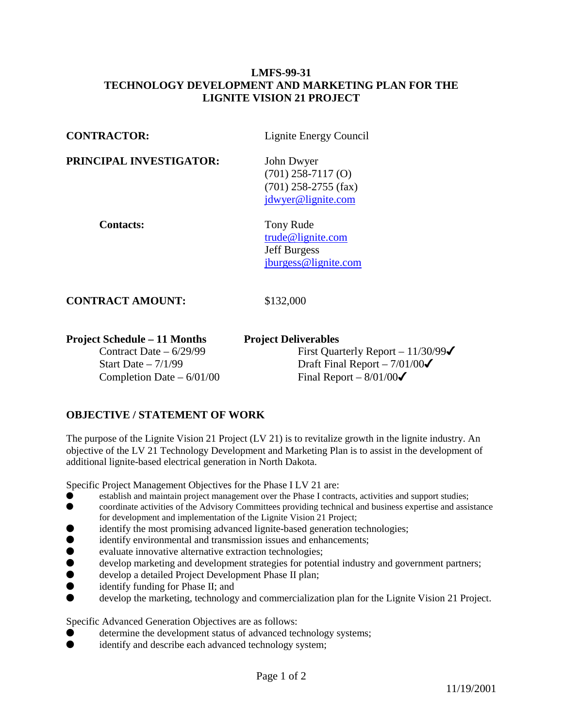## **LMFS-99-31 TECHNOLOGY DEVELOPMENT AND MARKETING PLAN FOR THE LIGNITE VISION 21 PROJECT**

| <b>CONTRACTOR:</b>                                                                                                    | Lignite Energy Council                                                                                                                  |
|-----------------------------------------------------------------------------------------------------------------------|-----------------------------------------------------------------------------------------------------------------------------------------|
| PRINCIPAL INVESTIGATOR:                                                                                               | John Dwyer<br>$(701)$ 258-7117 $(O)$<br>$(701)$ 258-2755 (fax)<br>jdwyer@lignite.com                                                    |
| <b>Contacts:</b>                                                                                                      | Tony Rude<br>trude@lignite.com<br><b>Jeff Burgess</b><br>jburgess@lignite.com                                                           |
| <b>CONTRACT AMOUNT:</b>                                                                                               | \$132,000                                                                                                                               |
| <b>Project Schedule – 11 Months</b><br>Contract Date $-6/29/99$<br>Start Date $-7/1/99$<br>Completion Date $-6/01/00$ | <b>Project Deliverables</b><br>First Quarterly Report $-11/30/99\checkmark$<br>Draft Final Report $-7/01/00$<br>Final Report $-8/01/00$ |

## **OBJECTIVE / STATEMENT OF WORK**

The purpose of the Lignite Vision 21 Project (LV 21) is to revitalize growth in the lignite industry. An objective of the LV 21 Technology Development and Marketing Plan is to assist in the development of additional lignite-based electrical generation in North Dakota.

Specific Project Management Objectives for the Phase I LV 21 are:

- establish and maintain project management over the Phase I contracts, activities and support studies;
- coordinate activities of the Advisory Committees providing technical and business expertise and assistance for development and implementation of the Lignite Vision 21 Project;
- identify the most promising advanced lignite-based generation technologies;
- $\bullet$  identify environmental and transmission issues and enhancements;
- evaluate innovative alternative extraction technologies;
- $\bullet$  develop marketing and development strategies for potential industry and government partners;
- develop a detailed Project Development Phase II plan;
- $\bullet$  identify funding for Phase II; and
- develop the marketing, technology and commercialization plan for the Lignite Vision 21 Project.

Specific Advanced Generation Objectives are as follows:

- determine the development status of advanced technology systems;
- $\bullet$  identify and describe each advanced technology system;